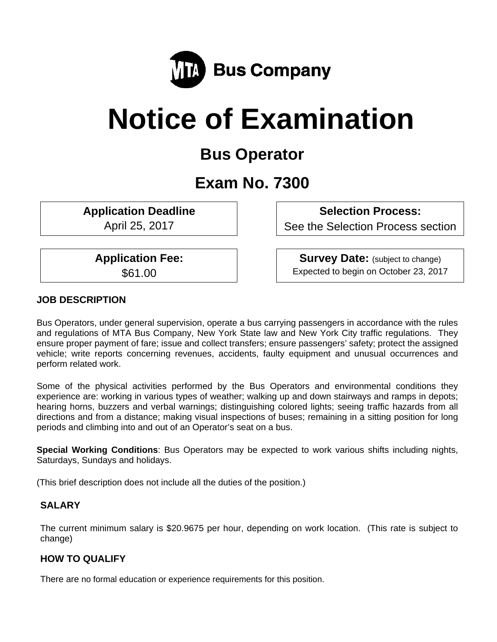

# **Notice of Examination**

# **Bus Operator**

# **Exam No. 7300**

**Application Deadline** 

April 25, 2017

 **Selection Process:** 

See the Selection Process section

**Application Fee:** 

\$61.00

**Survey Date:** (subject to change) Expected to begin on October 23, 2017

# **JOB DESCRIPTION**

Bus Operators, under general supervision, operate a bus carrying passengers in accordance with the rules and regulations of MTA Bus Company, New York State law and New York City traffic regulations. They ensure proper payment of fare; issue and collect transfers; ensure passengers' safety; protect the assigned vehicle; write reports concerning revenues, accidents, faulty equipment and unusual occurrences and perform related work.

Some of the physical activities performed by the Bus Operators and environmental conditions they experience are: working in various types of weather; walking up and down stairways and ramps in depots; hearing horns, buzzers and verbal warnings; distinguishing colored lights; seeing traffic hazards from all directions and from a distance; making visual inspections of buses; remaining in a sitting position for long periods and climbing into and out of an Operator's seat on a bus.

**Special Working Conditions**: Bus Operators may be expected to work various shifts including nights, Saturdays, Sundays and holidays.

(This brief description does not include all the duties of the position.)

# **SALARY**

The current minimum salary is \$20.9675 per hour, depending on work location. (This rate is subject to change)

# **HOW TO QUALIFY**

There are no formal education or experience requirements for this position.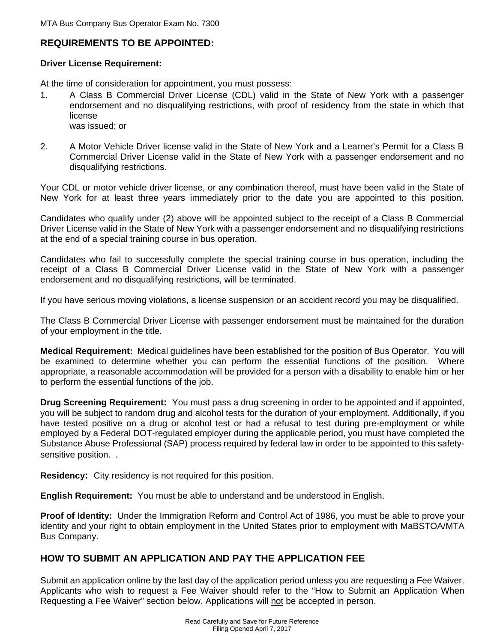## **REQUIREMENTS TO BE APPOINTED:**

#### **Driver License Requirement:**

At the time of consideration for appointment, you must possess:

- 1. A Class B Commercial Driver License (CDL) valid in the State of New York with a passenger endorsement and no disqualifying restrictions, with proof of residency from the state in which that license was issued; or
- 2. A Motor Vehicle Driver license valid in the State of New York and a Learner's Permit for a Class B Commercial Driver License valid in the State of New York with a passenger endorsement and no disqualifying restrictions.

Your CDL or motor vehicle driver license, or any combination thereof, must have been valid in the State of New York for at least three years immediately prior to the date you are appointed to this position.

Candidates who qualify under (2) above will be appointed subject to the receipt of a Class B Commercial Driver License valid in the State of New York with a passenger endorsement and no disqualifying restrictions at the end of a special training course in bus operation.

Candidates who fail to successfully complete the special training course in bus operation, including the receipt of a Class B Commercial Driver License valid in the State of New York with a passenger endorsement and no disqualifying restrictions, will be terminated.

If you have serious moving violations, a license suspension or an accident record you may be disqualified.

The Class B Commercial Driver License with passenger endorsement must be maintained for the duration of your employment in the title.

**Medical Requirement:** Medical guidelines have been established for the position of Bus Operator. You will be examined to determine whether you can perform the essential functions of the position. Where appropriate, a reasonable accommodation will be provided for a person with a disability to enable him or her to perform the essential functions of the job.

**Drug Screening Requirement:** You must pass a drug screening in order to be appointed and if appointed, you will be subject to random drug and alcohol tests for the duration of your employment. Additionally, if you have tested positive on a drug or alcohol test or had a refusal to test during pre-employment or while employed by a Federal DOT-regulated employer during the applicable period, you must have completed the Substance Abuse Professional (SAP) process required by federal law in order to be appointed to this safetysensitive position. .

**Residency:** City residency is not required for this position.

**English Requirement:** You must be able to understand and be understood in English.

**Proof of Identity:** Under the Immigration Reform and Control Act of 1986, you must be able to prove your identity and your right to obtain employment in the United States prior to employment with MaBSTOA/MTA Bus Company.

# **HOW TO SUBMIT AN APPLICATION AND PAY THE APPLICATION FEE**

Submit an application online by the last day of the application period unless you are requesting a Fee Waiver. Applicants who wish to request a Fee Waiver should refer to the "How to Submit an Application When Requesting a Fee Waiver" section below. Applications will not be accepted in person.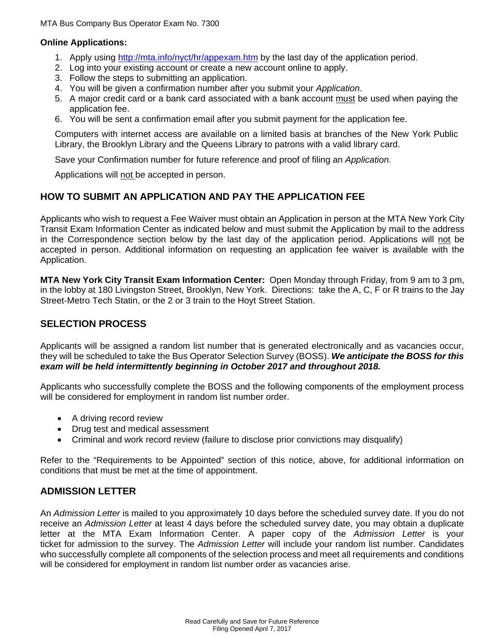MTA Bus Company Bus Operator Exam No. 7300

#### **Online Applications:**

- 1. Apply using http://mta.info/nyct/hr/appexam.htm by the last day of the application period.
- 2. Log into your existing account or create a new account online to apply.
- 3. Follow the steps to submitting an application.
- 4. You will be given a confirmation number after you submit your *Application*.
- 5. A major credit card or a bank card associated with a bank account must be used when paying the application fee.
- 6. You will be sent a confirmation email after you submit payment for the application fee.

Computers with internet access are available on a limited basis at branches of the New York Public Library, the Brooklyn Library and the Queens Library to patrons with a valid library card.

Save your Confirmation number for future reference and proof of filing an *Application*.

Applications will not be accepted in person.

## **HOW TO SUBMIT AN APPLICATION AND PAY THE APPLICATION FEE**

Applicants who wish to request a Fee Waiver must obtain an Application in person at the MTA New York City Transit Exam Information Center as indicated below and must submit the Application by mail to the address in the Correspondence section below by the last day of the application period. Applications will not be accepted in person. Additional information on requesting an application fee waiver is available with the Application.

**MTA New York City Transit Exam Information Center:** Open Monday through Friday, from 9 am to 3 pm, in the lobby at 180 Livingston Street, Brooklyn, New York. Directions: take the A, C, F or R trains to the Jay Street-Metro Tech Statin, or the 2 or 3 train to the Hoyt Street Station.

## **SELECTION PROCESS**

Applicants will be assigned a random list number that is generated electronically and as vacancies occur, they will be scheduled to take the Bus Operator Selection Survey (BOSS). *We anticipate the BOSS for this exam will be held intermittently beginning in October 2017 and throughout 2018.*

Applicants who successfully complete the BOSS and the following components of the employment process will be considered for employment in random list number order.

- A driving record review
- Drug test and medical assessment
- Criminal and work record review (failure to disclose prior convictions may disqualify)

Refer to the "Requirements to be Appointed" section of this notice, above, for additional information on conditions that must be met at the time of appointment.

#### **ADMISSION LETTER**

An *Admission Letter* is mailed to you approximately 10 days before the scheduled survey date. If you do not receive an *Admission Letter* at least 4 days before the scheduled survey date, you may obtain a duplicate letter at the MTA Exam Information Center. A paper copy of the *Admission Letter* is your ticket for admission to the survey. The *Admission Letter* will include your random list number. Candidates who successfully complete all components of the selection process and meet all requirements and conditions will be considered for employment in random list number order as vacancies arise.